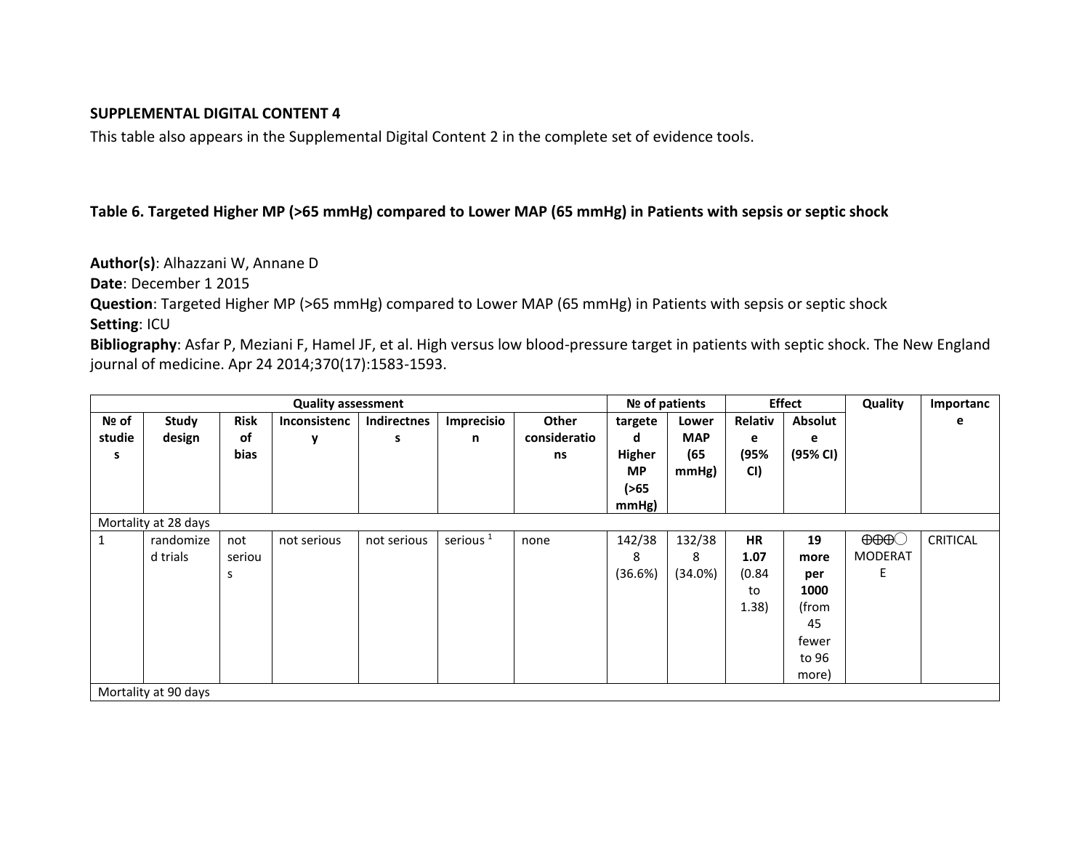## **SUPPLEMENTAL DIGITAL CONTENT 4**

This table also appears in the Supplemental Digital Content 2 in the complete set of evidence tools.

## **Table 6. Targeted Higher MP (>65 mmHg) compared to Lower MAP (65 mmHg) in Patients with sepsis or septic shock**

**Author(s)**: Alhazzani W, Annane D

**Date**: December 1 2015

**Question**: Targeted Higher MP (>65 mmHg) compared to Lower MAP (65 mmHg) in Patients with sepsis or septic shock **Setting**: ICU

**Bibliography**: Asfar P, Meziani F, Hamel JF, et al. High versus low blood-pressure target in patients with septic shock. The New England journal of medicine. Apr 24 2014;370(17):1583-1593.

| <b>Quality assessment</b> |           |             |                     |             |                      |              | Nº of patients |            | <b>Effect</b> |                | Quality              | Importanc       |
|---------------------------|-----------|-------------|---------------------|-------------|----------------------|--------------|----------------|------------|---------------|----------------|----------------------|-----------------|
| Nº of                     | Study     | <b>Risk</b> | <b>Inconsistenc</b> | Indirectnes | Imprecisio           | <b>Other</b> | targete        | Lower      | Relativ       | <b>Absolut</b> |                      | е               |
| studie                    | design    | of          | y                   | s           | n                    | consideratio | d              | <b>MAP</b> | е             | е              |                      |                 |
| s                         |           | bias        |                     |             |                      | ns           | Higher         | (65)       | (95%          | (95% CI)       |                      |                 |
|                           |           |             |                     |             |                      |              | <b>MP</b>      | mmHg)      | CI)           |                |                      |                 |
|                           |           |             |                     |             |                      |              | ( > 65)        |            |               |                |                      |                 |
|                           |           |             |                     |             |                      |              | mmHg)          |            |               |                |                      |                 |
| Mortality at 28 days      |           |             |                     |             |                      |              |                |            |               |                |                      |                 |
|                           | randomize | not         | not serious         | not serious | serious <sup>1</sup> | none         | 142/38         | 132/38     | HR            | 19             | $\Theta\Theta\Theta$ | <b>CRITICAL</b> |
|                           | d trials  | seriou      |                     |             |                      |              | 8              | 8          | 1.07          | more           | <b>MODERAT</b>       |                 |
|                           |           | s           |                     |             |                      |              | (36.6%)        | (34.0%)    | (0.84)        | per            | E                    |                 |
|                           |           |             |                     |             |                      |              |                |            | to            | 1000           |                      |                 |
|                           |           |             |                     |             |                      |              |                |            | 1.38)         | (from          |                      |                 |
|                           |           |             |                     |             |                      |              |                |            |               | 45             |                      |                 |
|                           |           |             |                     |             |                      |              |                |            |               | fewer          |                      |                 |
|                           |           |             |                     |             |                      |              |                |            |               | to 96          |                      |                 |
|                           |           |             |                     |             |                      |              |                |            |               | more)          |                      |                 |
| Mortality at 90 days      |           |             |                     |             |                      |              |                |            |               |                |                      |                 |